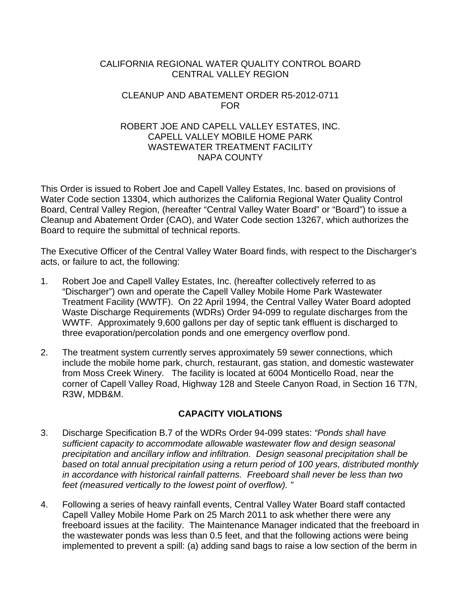## CALIFORNIA REGIONAL WATER QUALITY CONTROL BOARD CENTRAL VALLEY REGION

## CLEANUP AND ABATEMENT ORDER R5-2012-0711 FOR

## ROBERT JOE AND CAPELL VALLEY ESTATES, INC. CAPELL VALLEY MOBILE HOME PARK WASTEWATER TREATMENT FACILITY NAPA COUNTY

This Order is issued to Robert Joe and Capell Valley Estates, Inc. based on provisions of Water Code section 13304, which authorizes the California Regional Water Quality Control Board, Central Valley Region, (hereafter "Central Valley Water Board" or "Board") to issue a Cleanup and Abatement Order (CAO), and Water Code section 13267, which authorizes the Board to require the submittal of technical reports.

The Executive Officer of the Central Valley Water Board finds, with respect to the Discharger's acts, or failure to act, the following:

- 1. Robert Joe and Capell Valley Estates, Inc. (hereafter collectively referred to as "Discharger") own and operate the Capell Valley Mobile Home Park Wastewater Treatment Facility (WWTF). On 22 April 1994, the Central Valley Water Board adopted Waste Discharge Requirements (WDRs) Order 94-099 to regulate discharges from the WWTF. Approximately 9,600 gallons per day of septic tank effluent is discharged to three evaporation/percolation ponds and one emergency overflow pond.
- 2. The treatment system currently serves approximately 59 sewer connections, which include the mobile home park, church, restaurant, gas station, and domestic wastewater from Moss Creek Winery. The facility is located at 6004 Monticello Road, near the corner of Capell Valley Road, Highway 128 and Steele Canyon Road, in Section 16 T7N, R3W, MDB&M.

# **CAPACITY VIOLATIONS**

- 3. Discharge Specification B.7 of the WDRs Order 94-099 states: *"Ponds shall have sufficient capacity to accommodate allowable wastewater flow and design seasonal precipitation and ancillary inflow and infiltration. Design seasonal precipitation shall be based on total annual precipitation using a return period of 100 years, distributed monthly in accordance with historical rainfall patterns. Freeboard shall never be less than two feet (measured vertically to the lowest point of overflow). "*
- 4. Following a series of heavy rainfall events, Central Valley Water Board staff contacted Capell Valley Mobile Home Park on 25 March 2011 to ask whether there were any freeboard issues at the facility. The Maintenance Manager indicated that the freeboard in the wastewater ponds was less than 0.5 feet, and that the following actions were being implemented to prevent a spill: (a) adding sand bags to raise a low section of the berm in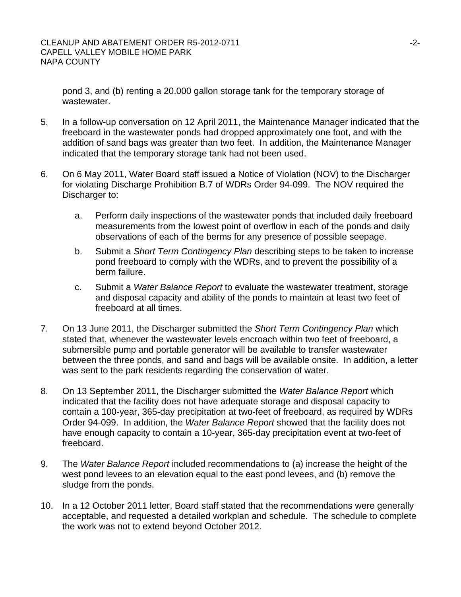pond 3, and (b) renting a 20,000 gallon storage tank for the temporary storage of wastewater.

- 5. In a follow-up conversation on 12 April 2011, the Maintenance Manager indicated that the freeboard in the wastewater ponds had dropped approximately one foot, and with the addition of sand bags was greater than two feet. In addition, the Maintenance Manager indicated that the temporary storage tank had not been used.
- 6. On 6 May 2011, Water Board staff issued a Notice of Violation (NOV) to the Discharger for violating Discharge Prohibition B.7 of WDRs Order 94-099. The NOV required the Discharger to:
	- a. Perform daily inspections of the wastewater ponds that included daily freeboard measurements from the lowest point of overflow in each of the ponds and daily observations of each of the berms for any presence of possible seepage.
	- b. Submit a *Short Term Contingency Plan* describing steps to be taken to increase pond freeboard to comply with the WDRs, and to prevent the possibility of a berm failure.
	- c. Submit a *Water Balance Report* to evaluate the wastewater treatment, storage and disposal capacity and ability of the ponds to maintain at least two feet of freeboard at all times.
- 7. On 13 June 2011, the Discharger submitted the *Short Term Contingency Plan* which stated that, whenever the wastewater levels encroach within two feet of freeboard, a submersible pump and portable generator will be available to transfer wastewater between the three ponds, and sand and bags will be available onsite. In addition, a letter was sent to the park residents regarding the conservation of water.
- 8. On 13 September 2011, the Discharger submitted the *Water Balance Report* which indicated that the facility does not have adequate storage and disposal capacity to contain a 100-year, 365-day precipitation at two-feet of freeboard, as required by WDRs Order 94-099. In addition, the *Water Balance Report* showed that the facility does not have enough capacity to contain a 10-year, 365-day precipitation event at two-feet of freeboard.
- 9. The *Water Balance Report* included recommendations to (a) increase the height of the west pond levees to an elevation equal to the east pond levees, and (b) remove the sludge from the ponds.
- 10. In a 12 October 2011 letter, Board staff stated that the recommendations were generally acceptable, and requested a detailed workplan and schedule. The schedule to complete the work was not to extend beyond October 2012.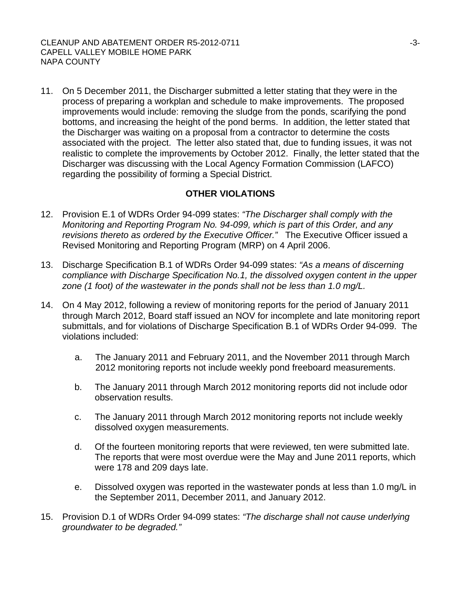11. On 5 December 2011, the Discharger submitted a letter stating that they were in the process of preparing a workplan and schedule to make improvements. The proposed improvements would include: removing the sludge from the ponds, scarifying the pond bottoms, and increasing the height of the pond berms. In addition, the letter stated that the Discharger was waiting on a proposal from a contractor to determine the costs associated with the project. The letter also stated that, due to funding issues, it was not realistic to complete the improvements by October 2012. Finally, the letter stated that the Discharger was discussing with the Local Agency Formation Commission (LAFCO) regarding the possibility of forming a Special District.

## **OTHER VIOLATIONS**

- 12. Provision E.1 of WDRs Order 94-099 states: *"The Discharger shall comply with the Monitoring and Reporting Program No. 94-099, which is part of this Order, and any revisions thereto as ordered by the Executive Officer."* The Executive Officer issued a Revised Monitoring and Reporting Program (MRP) on 4 April 2006.
- 13. Discharge Specification B.1 of WDRs Order 94-099 states: *"As a means of discerning compliance with Discharge Specification No.1, the dissolved oxygen content in the upper zone (1 foot) of the wastewater in the ponds shall not be less than 1.0 mg/L.*
- 14. On 4 May 2012, following a review of monitoring reports for the period of January 2011 through March 2012, Board staff issued an NOV for incomplete and late monitoring report submittals, and for violations of Discharge Specification B.1 of WDRs Order 94-099. The violations included:
	- a. The January 2011 and February 2011, and the November 2011 through March 2012 monitoring reports not include weekly pond freeboard measurements.
	- b. The January 2011 through March 2012 monitoring reports did not include odor observation results.
	- c. The January 2011 through March 2012 monitoring reports not include weekly dissolved oxygen measurements.
	- d. Of the fourteen monitoring reports that were reviewed, ten were submitted late. The reports that were most overdue were the May and June 2011 reports, which were 178 and 209 days late.
	- e. Dissolved oxygen was reported in the wastewater ponds at less than 1.0 mg/L in the September 2011, December 2011, and January 2012.
- 15. Provision D.1 of WDRs Order 94-099 states: *"The discharge shall not cause underlying groundwater to be degraded."*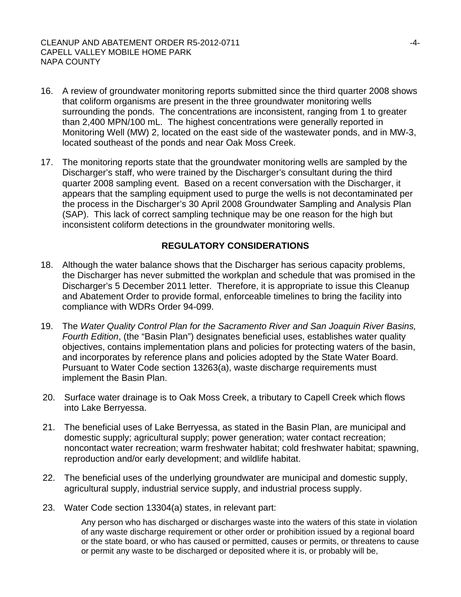- 16. A review of groundwater monitoring reports submitted since the third quarter 2008 shows that coliform organisms are present in the three groundwater monitoring wells surrounding the ponds. The concentrations are inconsistent, ranging from 1 to greater than 2,400 MPN/100 mL. The highest concentrations were generally reported in Monitoring Well (MW) 2, located on the east side of the wastewater ponds, and in MW-3, located southeast of the ponds and near Oak Moss Creek.
- 17. The monitoring reports state that the groundwater monitoring wells are sampled by the Discharger's staff, who were trained by the Discharger's consultant during the third quarter 2008 sampling event. Based on a recent conversation with the Discharger, it appears that the sampling equipment used to purge the wells is not decontaminated per the process in the Discharger's 30 April 2008 Groundwater Sampling and Analysis Plan (SAP). This lack of correct sampling technique may be one reason for the high but inconsistent coliform detections in the groundwater monitoring wells.

# **REGULATORY CONSIDERATIONS**

- 18. Although the water balance shows that the Discharger has serious capacity problems, the Discharger has never submitted the workplan and schedule that was promised in the Discharger's 5 December 2011 letter. Therefore, it is appropriate to issue this Cleanup and Abatement Order to provide formal, enforceable timelines to bring the facility into compliance with WDRs Order 94-099.
- 19. The *Water Quality Control Plan for the Sacramento River and San Joaquin River Basins, Fourth Edition*, (the "Basin Plan") designates beneficial uses, establishes water quality objectives, contains implementation plans and policies for protecting waters of the basin, and incorporates by reference plans and policies adopted by the State Water Board. Pursuant to Water Code section 13263(a), waste discharge requirements must implement the Basin Plan.
- 20. Surface water drainage is to Oak Moss Creek, a tributary to Capell Creek which flows into Lake Berryessa.
- 21. The beneficial uses of Lake Berryessa, as stated in the Basin Plan, are municipal and domestic supply; agricultural supply; power generation; water contact recreation; noncontact water recreation; warm freshwater habitat; cold freshwater habitat; spawning, reproduction and/or early development; and wildlife habitat.
- 22. The beneficial uses of the underlying groundwater are municipal and domestic supply, agricultural supply, industrial service supply, and industrial process supply.
- 23. Water Code section 13304(a) states, in relevant part:

Any person who has discharged or discharges waste into the waters of this state in violation of any waste discharge requirement or other order or prohibition issued by a regional board or the state board, or who has caused or permitted, causes or permits, or threatens to cause or permit any waste to be discharged or deposited where it is, or probably will be,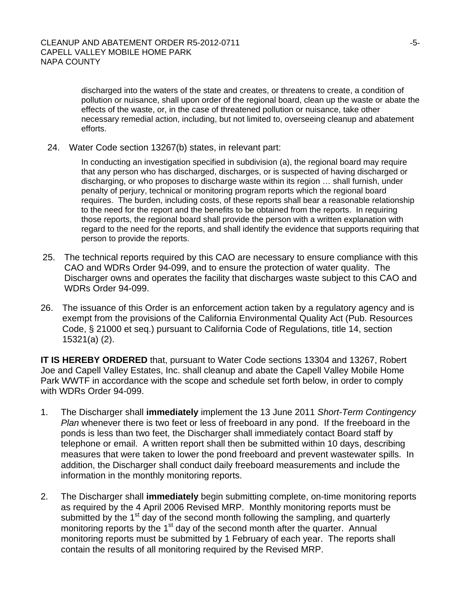discharged into the waters of the state and creates, or threatens to create, a condition of pollution or nuisance, shall upon order of the regional board, clean up the waste or abate the effects of the waste, or, in the case of threatened pollution or nuisance, take other necessary remedial action, including, but not limited to, overseeing cleanup and abatement efforts.

24. Water Code section 13267(b) states, in relevant part:

In conducting an investigation specified in subdivision (a), the regional board may require that any person who has discharged, discharges, or is suspected of having discharged or discharging, or who proposes to discharge waste within its region … shall furnish, under penalty of perjury, technical or monitoring program reports which the regional board requires. The burden, including costs, of these reports shall bear a reasonable relationship to the need for the report and the benefits to be obtained from the reports. In requiring those reports, the regional board shall provide the person with a written explanation with regard to the need for the reports, and shall identify the evidence that supports requiring that person to provide the reports.

- 25. The technical reports required by this CAO are necessary to ensure compliance with this CAO and WDRs Order 94-099, and to ensure the protection of water quality. The Discharger owns and operates the facility that discharges waste subject to this CAO and WDRs Order 94-099.
- 26. The issuance of this Order is an enforcement action taken by a regulatory agency and is exempt from the provisions of the California Environmental Quality Act (Pub. Resources Code, § 21000 et seq.) pursuant to California Code of Regulations, title 14, section 15321(a) (2).

**IT IS HEREBY ORDERED** that, pursuant to Water Code sections 13304 and 13267, Robert Joe and Capell Valley Estates, Inc. shall cleanup and abate the Capell Valley Mobile Home Park WWTF in accordance with the scope and schedule set forth below, in order to comply with WDRs Order 94-099.

- 1. The Discharger shall **immediately** implement the 13 June 2011 *Short-Term Contingency Plan* whenever there is two feet or less of freeboard in any pond. If the freeboard in the ponds is less than two feet, the Discharger shall immediately contact Board staff by telephone or email. A written report shall then be submitted within 10 days, describing measures that were taken to lower the pond freeboard and prevent wastewater spills. In addition, the Discharger shall conduct daily freeboard measurements and include the information in the monthly monitoring reports.
- 2. The Discharger shall **immediately** begin submitting complete, on-time monitoring reports as required by the 4 April 2006 Revised MRP. Monthly monitoring reports must be submitted by the 1<sup>st</sup> day of the second month following the sampling, and quarterly monitoring reports by the  $1<sup>st</sup>$  day of the second month after the quarter. Annual monitoring reports must be submitted by 1 February of each year. The reports shall contain the results of all monitoring required by the Revised MRP.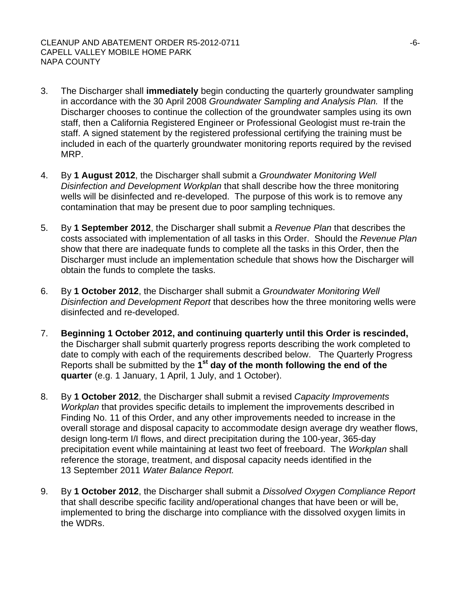#### CLEANUP AND ABATEMENT ORDER R5-2012-0711 CAPELL VALLEY MOBILE HOME PARK NAPA COUNTY

- 3. The Discharger shall **immediately** begin conducting the quarterly groundwater sampling in accordance with the 30 April 2008 *Groundwater Sampling and Analysis Plan.* If the Discharger chooses to continue the collection of the groundwater samples using its own staff, then a California Registered Engineer or Professional Geologist must re-train the staff. A signed statement by the registered professional certifying the training must be included in each of the quarterly groundwater monitoring reports required by the revised MRP.
- 4. By **1 August 2012**, the Discharger shall submit a *Groundwater Monitoring Well Disinfection and Development Workplan* that shall describe how the three monitoring wells will be disinfected and re-developed. The purpose of this work is to remove any contamination that may be present due to poor sampling techniques.
- 5. By **1 September 2012**, the Discharger shall submit a *Revenue Plan* that describes the costs associated with implementation of all tasks in this Order. Should the *Revenue Plan* show that there are inadequate funds to complete all the tasks in this Order, then the Discharger must include an implementation schedule that shows how the Discharger will obtain the funds to complete the tasks.
- 6. By **1 October 2012**, the Discharger shall submit a *Groundwater Monitoring Well Disinfection and Development Report* that describes how the three monitoring wells were disinfected and re-developed.
- 7. **Beginning 1 October 2012, and continuing quarterly until this Order is rescinded,**  the Discharger shall submit quarterly progress reports describing the work completed to date to comply with each of the requirements described below. The Quarterly Progress Reports shall be submitted by the **1st day of the month following the end of the quarter** (e.g. 1 January, 1 April, 1 July, and 1 October).
- 8. By **1 October 2012**, the Discharger shall submit a revised *Capacity Improvements Workplan* that provides specific details to implement the improvements described in Finding No. 11 of this Order, and any other improvements needed to increase in the overall storage and disposal capacity to accommodate design average dry weather flows, design long-term I/I flows, and direct precipitation during the 100-year, 365-day precipitation event while maintaining at least two feet of freeboard. The *Workplan* shall reference the storage, treatment, and disposal capacity needs identified in the 13 September 2011 *Water Balance Report.*
- 9. By **1 October 2012**, the Discharger shall submit a *Dissolved Oxygen Compliance Report* that shall describe specific facility and/operational changes that have been or will be, implemented to bring the discharge into compliance with the dissolved oxygen limits in the WDRs.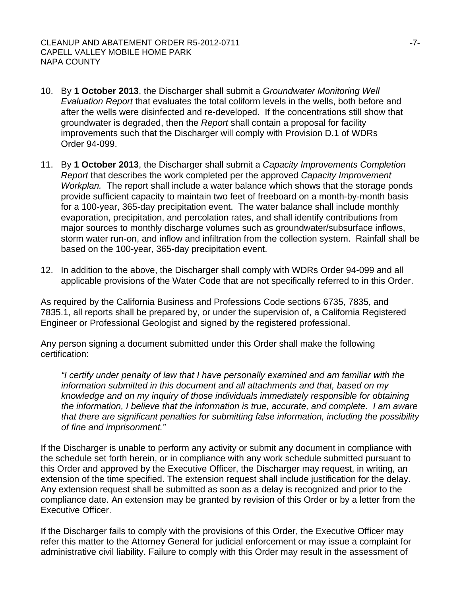- 10. By **1 October 2013**, the Discharger shall submit a *Groundwater Monitoring Well Evaluation Report* that evaluates the total coliform levels in the wells, both before and after the wells were disinfected and re-developed. If the concentrations still show that groundwater is degraded, then the *Report* shall contain a proposal for facility improvements such that the Discharger will comply with Provision D.1 of WDRs Order 94-099.
- 11. By **1 October 2013**, the Discharger shall submit a *Capacity Improvements Completion Report* that describes the work completed per the approved *Capacity Improvement Workplan.* The report shall include a water balance which shows that the storage ponds provide sufficient capacity to maintain two feet of freeboard on a month-by-month basis for a 100-year, 365-day precipitation event. The water balance shall include monthly evaporation, precipitation, and percolation rates, and shall identify contributions from major sources to monthly discharge volumes such as groundwater/subsurface inflows, storm water run-on, and inflow and infiltration from the collection system. Rainfall shall be based on the 100-year, 365-day precipitation event.
- 12. In addition to the above, the Discharger shall comply with WDRs Order 94-099 and all applicable provisions of the Water Code that are not specifically referred to in this Order.

As required by the California Business and Professions Code sections 6735, 7835, and 7835.1, all reports shall be prepared by, or under the supervision of, a California Registered Engineer or Professional Geologist and signed by the registered professional.

Any person signing a document submitted under this Order shall make the following certification:

*"I certify under penalty of law that I have personally examined and am familiar with the information submitted in this document and all attachments and that, based on my knowledge and on my inquiry of those individuals immediately responsible for obtaining the information, I believe that the information is true, accurate, and complete. I am aware that there are significant penalties for submitting false information, including the possibility of fine and imprisonment."* 

If the Discharger is unable to perform any activity or submit any document in compliance with the schedule set forth herein, or in compliance with any work schedule submitted pursuant to this Order and approved by the Executive Officer, the Discharger may request, in writing, an extension of the time specified. The extension request shall include justification for the delay. Any extension request shall be submitted as soon as a delay is recognized and prior to the compliance date. An extension may be granted by revision of this Order or by a letter from the Executive Officer.

If the Discharger fails to comply with the provisions of this Order, the Executive Officer may refer this matter to the Attorney General for judicial enforcement or may issue a complaint for administrative civil liability. Failure to comply with this Order may result in the assessment of